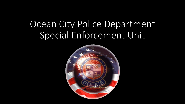# Ocean City Police Department Special Enforcement Unit

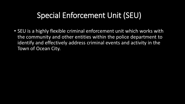#### Special Enforcement Unit (SEU)

• SEU is a highly flexible criminal enforcement unit which works with the community and other entities within the police department to identify and effectively address criminal events and activity in the Town of Ocean City.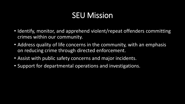## SEU Mission

- Identify, monitor, and apprehend violent/repeat offenders committing crimes within our community.
- Address quality of life concerns in the community, with an emphasis on reducing crime through directed enforcement.
- Assist with public safety concerns and major incidents.
- Support for departmental operations and investigations.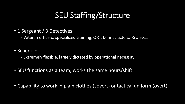### SEU Staffing/Structure

• 1 Sergeant / 3 Detectives

- Veteran officers, specialized training, QRT, DT instructors, FSU etc…

- Schedule
	- Extremely flexible, largely dictated by operational necessity
- SEU functions as a team, works the same hours/shift
- Capability to work in plain clothes (covert) or tactical uniform (overt)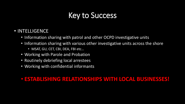### Key to Success

- INTELLIGENCE
	- Information sharing with patrol and other OCPD investigative units
	- Information sharing with various other investigative units across the shore
		- MSAT, GU, CET, CBI, DEA, FBI etc…
	- Working with Parole and Probation
	- Routinely debriefing local arrestees
	- Working with confidential informants

#### • **ESTABLISHING RELATIONSHIPS WITH LOCAL BUSINESSES!**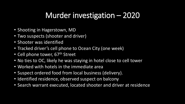## Murder investigation – 2020

- Shooting in Hagerstown, MD
- Two suspects (shooter and driver)
- Shooter was identified
- Tracked driver's cell phone to Ocean City (one week)
- Cell phone tower, 67<sup>th</sup> Street
- No ties to OC, likely he was staying in hotel close to cell tower
- Worked with hotels in the immediate area
- Suspect ordered food from local business (delivery).
- Identified residence, observed suspect on balcony
- Search warrant executed, located shooter and driver at residence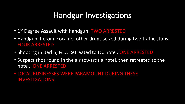#### Handgun Investigations

- 1<sup>st</sup> Degree Assault with handgun. TWO ARRESTED
- Handgun, heroin, cocaine, other drugs seized during two traffic stops. FOUR ARRESTED
- Shooting in Berlin, MD. Retreated to OC hotel. ONE ARRESTED
- Suspect shot round in the air towards a hotel, then retreated to the hotel. ONE ARRESTED
- LOCAL BUSINESSES WERE PARAMOUNT DURING THESE INVESTIGATIONS!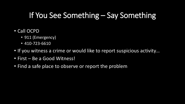## If You See Something – Say Something

- Call OCPD
	- 911 (Emergency)
	- 410-723-6610
- If you witness a crime or would like to report suspicious activity…
- First Be a Good Witness!
- Find a safe place to observe or report the problem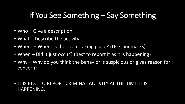#### If You See Something – Say Something

- Who Give a description
- What Describe the activity
- Where Where is the event taking place? (Use landmarks)
- When Did it just occur? (Best to report it as it is happening)
- Why Why do you think the behavior is suspicious or gives reason for concern?
- IT IS BEST TO REPORT CRIMINAL ACTIVITY AT THE TIME IT IS HAPPENING.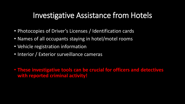#### Investigative Assistance from Hotels

- Photocopies of Driver's Licenses / Identification cards
- Names of all occupants staying in hotel/motel rooms
- Vehicle registration information
- Interior / Exterior surveillance cameras

• **These investigative tools can be crucial for officers and detectives with reported criminal activity!**